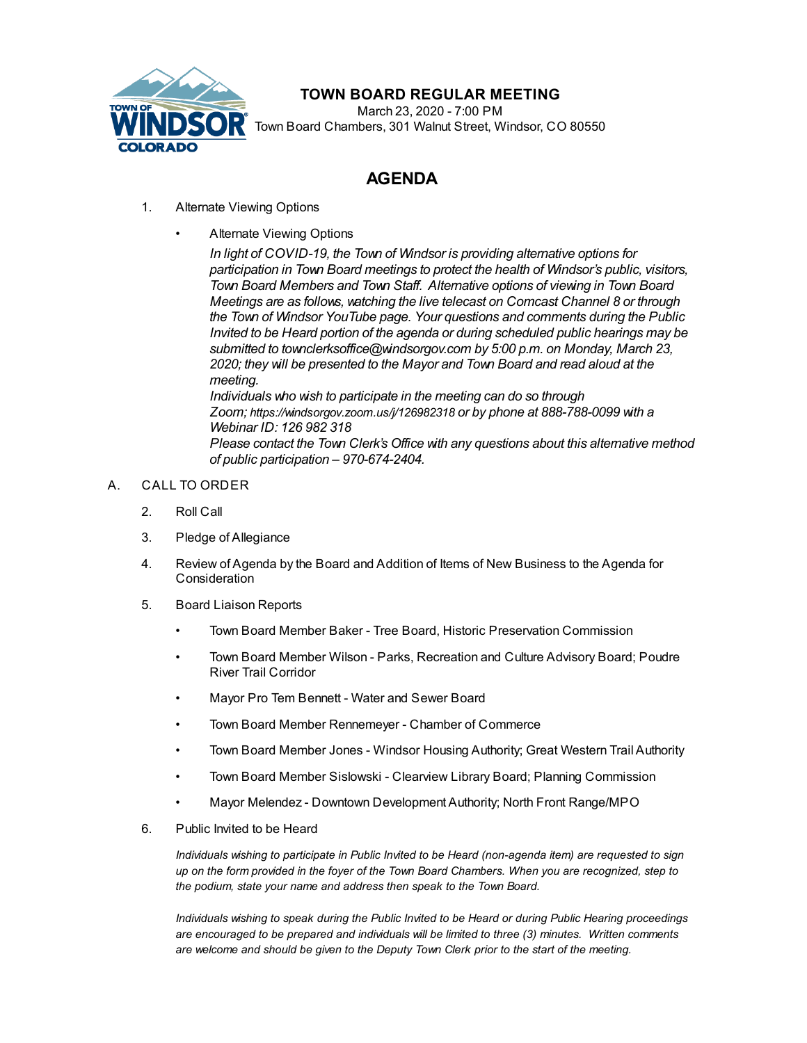

## **TOWN BOARD REGULAR MEETING**

March 23, 2020 - 7:00 PM Town Board Chambers, 301 Walnut Street, Windsor, CO 80550

# **AGENDA**

- 1. Alternate Viewing Options
	- [Alternate](file:///C:/Windows/TEMP/CoverSheet.aspx?ItemID=811&MeetingID=134) Viewing Options

*In light of COVID-19, the Town of Windsor is providing alternative options for participation in Town Board meetings to protect the health of Windsor's public, visitors, Town Board Members and Town Staff. Alternative options of viewing in Town Board Meetings are as follows, watching the live telecast on Comcast Channel 8 or through the Town of Windsor [YouTube](https://www.youtube.com/user/TownOfWindsorCO) page. Your questions and comments during the Public Invited to be Heard portion of the agenda or during scheduled public hearings may be submitted to [townclerksoffice@windsorgov.com](mailto:townclerksoffice@windsorgov.com) by 5:00 p.m. on Monday, March 23, 2020; they will be presented to the Mayor and Town Board and read aloud at the meeting.*

*Individuals who wish to participate in the meeting can do so through Zoom; <https://windsorgov.zoom.us/j/126982318> or by phone at 888-788-0099 with a Webinar ID: 126 982 318 Please contact the Town Clerk's Office with any questions about this alternative method of public participation – 970-674-2404.*

### A. CALL TO ORDER

- 2. Roll Call
- 3. Pledge of Allegiance
- 4. Review of Agenda by the Board and Addition of Items of New Business to the Agenda for **Consideration**
- 5. Board Liaison Reports
	- Town Board Member Baker Tree Board, Historic Preservation Commission
	- Town Board Member Wilson Parks, Recreation and Culture Advisory Board; Poudre River Trail Corridor
	- Mayor Pro Tem Bennett Water and Sewer Board
	- Town Board Member Rennemeyer Chamber of Commerce
	- Town Board Member Jones Windsor Housing Authority; Great Western Trail Authority
	- Town Board Member Sislowski Clearview Library Board; Planning Commission
	- Mayor Melendez Downtown Development Authority; North Front Range/MPO
- 6. Public Invited to be Heard

*Individuals wishing to participate in Public Invited to be Heard (non-agenda item) are requested to sign* up on the form provided in the foyer of the Town Board Chambers. When you are recognized, step to *the podium, state your name and address then speak to the Town Board.*

*Individuals wishing to speak during the Public Invited to be Heard or during Public Hearing proceedings are encouraged to be prepared and individuals will be limited to three (3) minutes. Written comments are welcome and should be given to the Deputy Town Clerk prior to the start of the meeting.*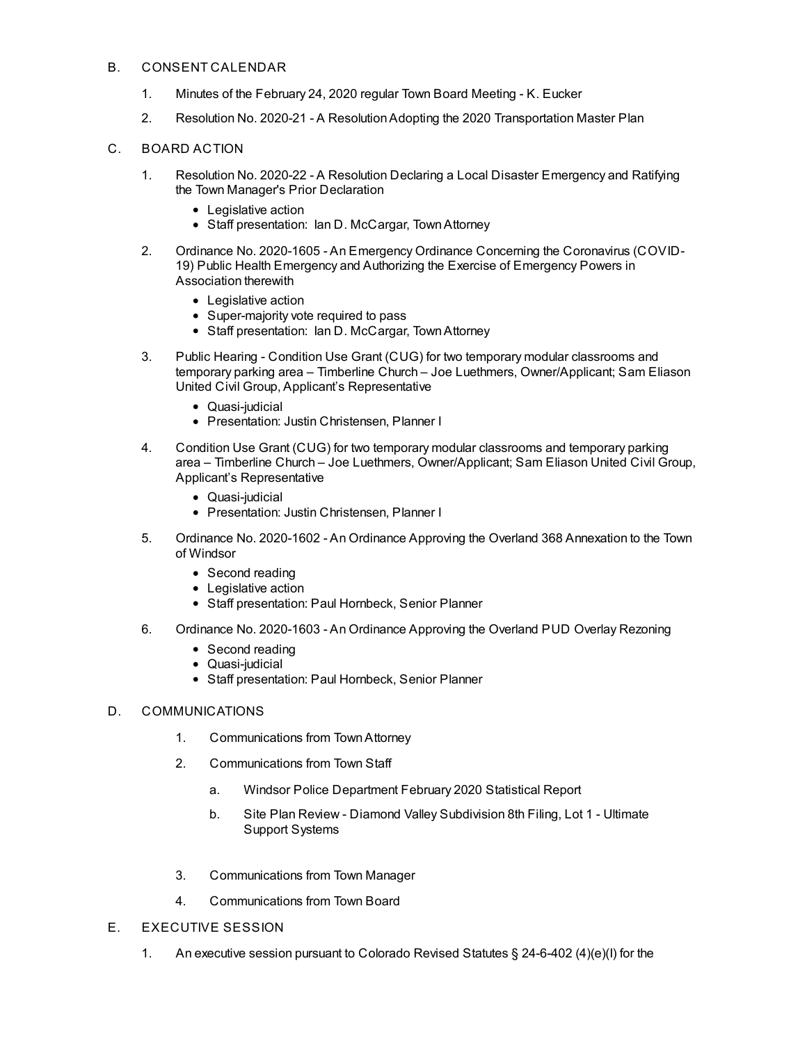#### B. CONSENT CALENDAR

- 1. Minutes of the [February](file:///C:/Windows/TEMP/CoverSheet.aspx?ItemID=804&MeetingID=134) 24, 2020 regular Town Board Meeting K. Eucker
- 2. Resolution No. 2020-21 A [ResolutionAdopting](file:///C:/Windows/TEMP/CoverSheet.aspx?ItemID=761&MeetingID=134) the 2020 Transportation Master Plan

#### C. BOARD ACTION

- 1. Resolution No. 2020-22 A Resolution Declaring a Local Disaster [Emergency](file:///C:/Windows/TEMP/CoverSheet.aspx?ItemID=799&MeetingID=134) and Ratifying the Town Manager's Prior Declaration
	- Legislative action
	- Staff presentation: Ian D. McCargar, TownAttorney
- 2. Ordinance No. 2020-1605 An Emergency Ordinance Concerning the [Coronavirus](file:///C:/Windows/TEMP/CoverSheet.aspx?ItemID=800&MeetingID=134) (COVID-19) Public Health Emergency and Authorizing the Exercise of Emergency Powers in Association therewith
	- Legislative action
	- Super-majority vote required to pass
	- Staff presentation: Ian D. McCargar, Town Attorney
- 3. Public Hearing Condition Use Grant (CUG) for two temporary modular classrooms and temporary parking area – Timberline Church – Joe Luethmers, [Owner/Applicant;](file:///C:/Windows/TEMP/CoverSheet.aspx?ItemID=794&MeetingID=134) Sam Eliason United Civil Group, Applicant's Representative
	- Quasi-judicial
	- Presentation: Justin Christensen, Planner I
- 4. Condition Use Grant (CUG) for two temporary modular classrooms and temporary parking area – Timberline Church – Joe Luethmers, [Owner/Applicant;](file:///C:/Windows/TEMP/CoverSheet.aspx?ItemID=803&MeetingID=134) Sam Eliason United Civil Group, Applicant's Representative
	- Quasi-iudicial
	- Presentation: Justin Christensen, Planner I
- 5. Ordinance No. 2020-1602 An Ordinance Approving the Overland 368 [Annexation](file:///C:/Windows/TEMP/CoverSheet.aspx?ItemID=796&MeetingID=134) to the Town of Windsor
	- Second reading
	- Legislative action
	- Staff presentation: Paul Hornbeck, Senior Planner
- 6. Ordinance No. [2020-1603](file:///C:/Windows/TEMP/CoverSheet.aspx?ItemID=798&MeetingID=134) An Ordinance Approving the Overland PUD Overlay Rezoning
	- Second reading
	- Quasi-iudicial
	- Staff presentation: Paul Hornbeck, Senior Planner

#### D. COMMUNICATIONS

- 1. Communications from TownAttorney
- 2. Communications from Town Staff
	- a. Windsor Police [Department](file:///C:/Windows/TEMP/CoverSheet.aspx?ItemID=791&MeetingID=134) February 2020 Statistical Report
	- b. Site Plan Review Diamond Valley [Subdivision](file:///C:/Windows/TEMP/CoverSheet.aspx?ItemID=802&MeetingID=134) 8th Filing, Lot 1 Ultimate Support Systems
- 3. Communications from Town Manager
- 4. Communications from Town Board
- E. EXECUTIVE SESSION
	- 1. An executive session pursuant to Colorado Revised Statutes § 24-6-402 (4)(e)(I) for the